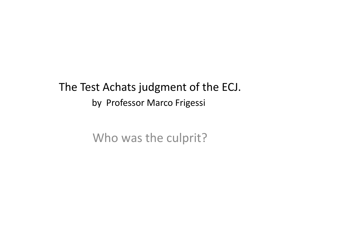#### The Test Achats judgment of the ECJ. by Professor Marco Frigessi

Who was the culprit?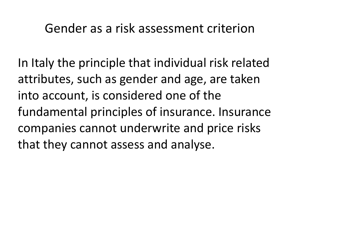#### Gender as a risk assessment criterion

In Italy the principle that individual risk related attributes, such as gender and age, are taken into account, is considered one of the fundamental principles of insurance. Insurance companies cannot underwrite and price risks that they cannot assess and analyse.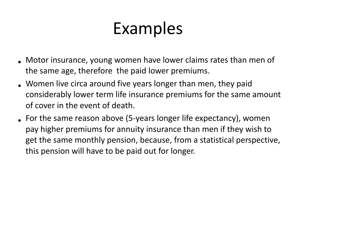### Examples

- Motor insurance, young women have lower claims rates than men of the same age, therefore the paid lower premiums.
- Women live circa around five years longer than men, they paid considerably lower term life insurance premiums for the same amount of cover in the event of death.
- For the same reason above (5-years longer life expectancy), women pay higher premiums for annuity insurance than men if they wish to get the same monthly pension, because, from a statistical perspective, this pension will have to be paid out for longer.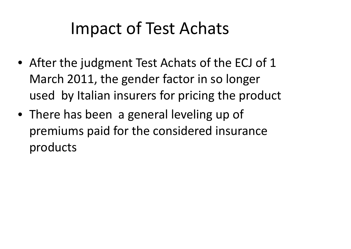### Impact of Test Achats

- After the judgment Test Achats of the ECJ of 1 March 2011, the gender factor in so longer used by Italian insurers for pricing the product
- There has been a general leveling up of premiums paid for the considered insurance products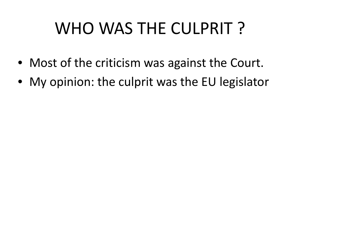# WHO WAS THE CULPRIT ?

- Most of the criticism was against the Court.
- My opinion: the culprit was the EU legislator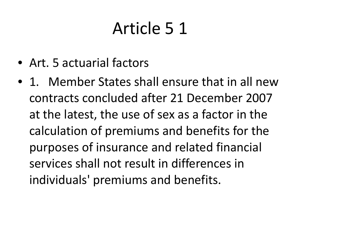# Article 5 1

- Art. 5 actuarial factors
- 1. Member States shall ensure that in all new contracts concluded after 21 December 2007 at the latest, the use of sex as a factor in the calculation of premiums and benefits for the purposes of insurance and related financial services shall not result in differences in individuals' premiums and benefits.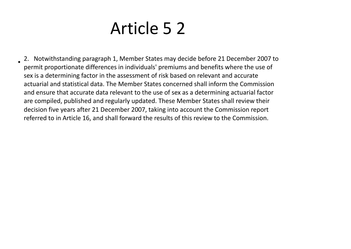### Article 5 2

• 2. Notwithstanding paragraph 1, Member States may decide before 21 December 2007 to permit proportionate differences in individuals' premiums and benefits where the use of sex is a determining factor in the assessment of risk based on relevant and accurate actuarial and statistical data. The Member States concerned shall inform the Commission and ensure that accurate data relevant to the use of sex as a determining actuarial factor are compiled, published and regularly updated. These Member States shall review their decision five years after 21 December 2007, taking into account the Commission report referred to in Article 16, and shall forward the results of this review to the Commission.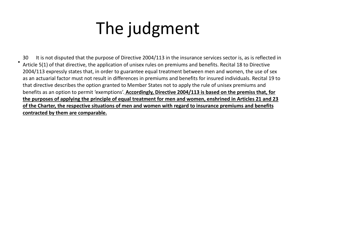## The judgment

30 It is not disputed that the purpose of Directive 2004/113 in the insurance services sector is, as is reflected in Article 5(1) of that directive, the application of unisex rules on premiums and benefits. Recital 18 to Directive 2004/113 expressly states that, in order to guarantee equal treatment between men and women, the use of sex as an actuarial factor must not result in differences in premiums and benefits for insured individuals. Recital 19 to that directive describes the option granted to Member States not to apply the rule of unisex premiums and benefits as an option to permit 'exemptions'. **Accordingly, Directive 2004/113 is based on the premiss that, for the purposes of applying the principle of equal treatment for men and women, enshrined in Articles 21 and 23 of the Charter, the respective situations of men and women with regard to insurance premiums and benefits contracted by them are comparable.**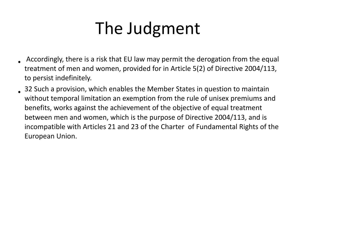## The Judgment

- Accordingly, there is a risk that EU law may permit the derogation from the equal treatment of men and women, provided for in Article 5(2) of Directive 2004/113, to persist indefinitely.
- 32 Such a provision, which enables the Member States in question to maintain without temporal limitation an exemption from the rule of unisex premiums and benefits, works against the achievement of the objective of equal treatment between men and women, which is the purpose of Directive 2004/113, and is incompatible with Articles 21 and 23 of the Charter of Fundamental Rights of the European Union.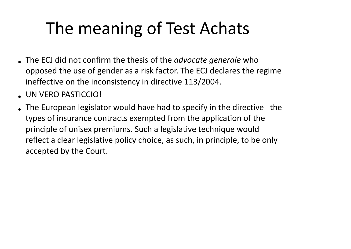# The meaning of Test Achats

- The ECJ did not confirm the thesis of the *advocate generale* who opposed the use of gender as a risk factor. The ECJ declares the regime ineffective on the inconsistency in directive 113/2004.
- UN VERO PASTICCIO!
- The European legislator would have had to specify in the directive the types of insurance contracts exempted from the application of the principle of unisex premiums. Such a legislative technique would reflect a clear legislative policy choice, as such, in principle, to be only accepted by the Court.